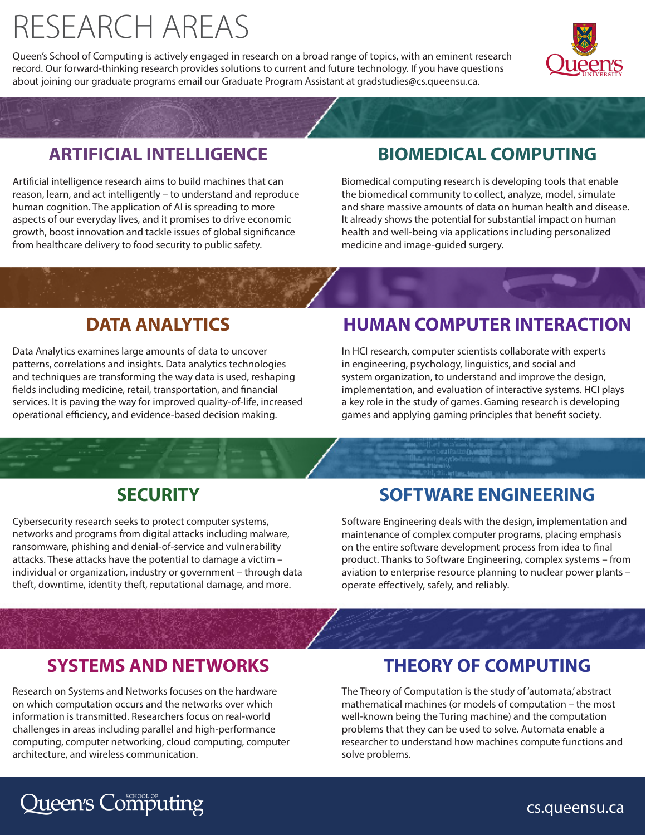## RESEARCH AREAS

Queen's School of Computing is actively engaged in research on a broad range of topics, with an eminent research record. Our forward-thinking research provides solutions to current and future technology. If you have questions about joining our graduate programs email our Graduate Program Assistant at gradstudies@cs.queensu.ca.



#### **ARTIFICIAL INTELLIGENCE**

Artificial intelligence research aims to build machines that can reason, learn, and act intelligently – to understand and reproduce human cognition. The application of AI is spreading to more aspects of our everyday lives, and it promises to drive economic growth, boost innovation and tackle issues of global significance from healthcare delivery to food security to public safety.

#### **BIOMEDICAL COMPUTING**

Biomedical computing research is developing tools that enable the biomedical community to collect, analyze, model, simulate and share massive amounts of data on human health and disease. It already shows the potential for substantial impact on human health and well-being via applications including personalized medicine and image-guided surgery.

#### **DATA ANALYTICS**

Data Analytics examines large amounts of data to uncover patterns, correlations and insights. Data analytics technologies and techniques are transforming the way data is used, reshaping fields including medicine, retail, transportation, and financial services. It is paving the way for improved quality-of-life, increased operational efficiency, and evidence-based decision making.

#### **HUMAN COMPUTER INTERACTION**

In HCI research, computer scientists collaborate with experts in engineering, psychology, linguistics, and social and system organization, to understand and improve the design, implementation, and evaluation of interactive systems. HCI plays a key role in the study of games. Gaming research is developing games and applying gaming principles that benefit society.

#### **SECURITY**

Cybersecurity research seeks to protect computer systems, networks and programs from digital attacks including malware, ransomware, phishing and denial-of-service and vulnerability attacks. These attacks have the potential to damage a victim – individual or organization, industry or government – through data theft, downtime, identity theft, reputational damage, and more.

#### **SOFTWARE ENGINEERING**

Software Engineering deals with the design, implementation and maintenance of complex computer programs, placing emphasis on the entire software development process from idea to final product. Thanks to Software Engineering, complex systems – from aviation to enterprise resource planning to nuclear power plants – operate effectively, safely, and reliably.

#### **SYSTEMS AND NETWORKS**

Research on Systems and Networks focuses on the hardware on which computation occurs and the networks over which information is transmitted. Researchers focus on real-world challenges in areas including parallel and high-performance computing, computer networking, cloud computing, computer architecture, and wireless communication.

#### **THEORY OF COMPUTING**

The Theory of Computation is the study of 'automata,' abstract mathematical machines (or models of computation – the most well-known being the Turing machine) and the computation problems that they can be used to solve. Automata enable a researcher to understand how machines compute functions and solve problems.

### **Lueen's Computing**

cs.queensu.ca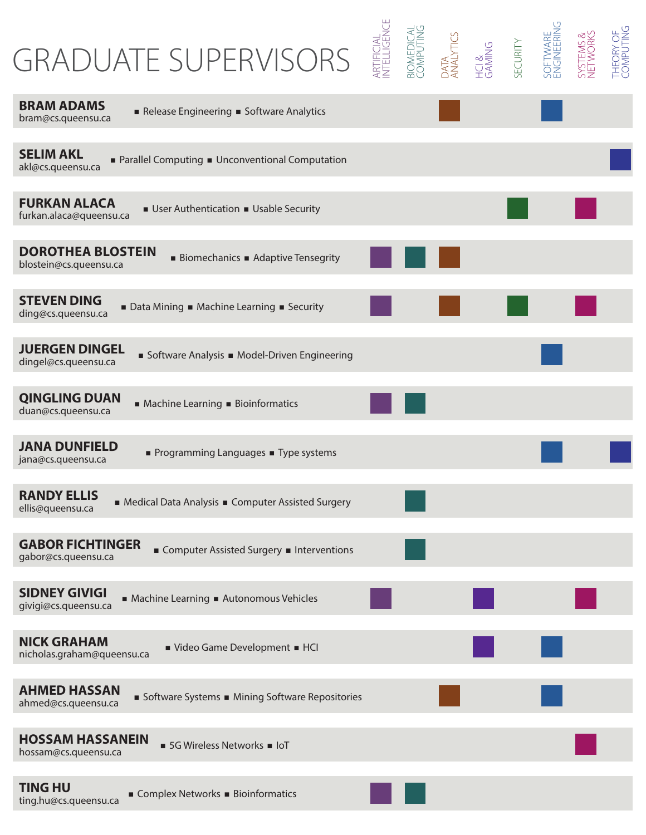## GRADUATE SUPERVISORS

| <b>GRADUATE SUPERVISORS</b>                                                                      | artificial<br>NTELLIGENCE | <b>BIOMEDICAL</b><br>COMPUTING | DATA<br>ANALYTICS<br>HCI &<br>SECURITY<br>SECURITY | SOFTWARE<br>ENGINEERING | SYSTEMS &<br>NETWORKS | THEORY OF<br>COMPUTING |
|--------------------------------------------------------------------------------------------------|---------------------------|--------------------------------|----------------------------------------------------|-------------------------|-----------------------|------------------------|
| <b>BRAM ADAMS</b><br>Release Engineering Boftware Analytics<br>bram@cs.queensu.ca                |                           |                                |                                                    |                         |                       |                        |
| <b>SELIM AKL</b><br>Parallel Computing • Unconventional Computation<br>akl@cs.queensu.ca         |                           |                                |                                                    |                         |                       |                        |
| <b>FURKAN ALACA</b><br>User Authentication Usable Security<br>furkan.alaca@queensu.ca            |                           |                                |                                                    |                         |                       |                        |
| <b>DOROTHEA BLOSTEIN</b><br><b>Biomechanics Adaptive Tensegrity</b><br>blostein@cs.queensu.ca    |                           |                                |                                                    |                         |                       |                        |
| <b>STEVEN DING</b><br>■ Data Mining ■ Machine Learning ■ Security<br>ding@cs.queensu.ca          |                           |                                |                                                    |                         |                       |                        |
| <b>JUERGEN DINGEL</b><br>Software Analysis Model-Driven Engineering<br>dingel@cs.queensu.ca      |                           |                                |                                                    |                         |                       |                        |
| <b>QINGLING DUAN</b><br>■ Machine Learning ■ Bioinformatics<br>duan@cs.queensu.ca                |                           |                                |                                                    |                         |                       |                        |
| <b>JANA DUNFIELD</b><br>Programming Languages Type systems<br>jana@cs.queensu.ca                 |                           |                                |                                                    |                         |                       |                        |
| <b>RANDY ELLIS</b><br>Medical Data Analysis • Computer Assisted Surgery<br>ellis@queensu.ca      |                           |                                |                                                    |                         |                       |                        |
| <b>GABOR FICHTINGER</b><br>Computer Assisted Surgery <b>Interventions</b><br>gabor@cs.queensu.ca |                           |                                |                                                    |                         |                       |                        |
| <b>SIDNEY GIVIGI</b><br>Machine Learning Autonomous Vehicles<br>givigi@cs.queensu.ca             |                           |                                |                                                    |                         |                       |                        |
| <b>NICK GRAHAM</b><br>Video Game Development BHCI<br>nicholas.graham@queensu.ca                  |                           |                                |                                                    |                         |                       |                        |
| <b>AHMED HASSAN</b><br>Software Systems Mining Software Repositories<br>ahmed@cs.queensu.ca      |                           |                                |                                                    |                         |                       |                        |
| <b>HOSSAM HASSANEIN</b><br>5G Wireless Networks = IoT<br>hossam@cs.queensu.ca                    |                           |                                |                                                    |                         |                       |                        |
| <b>TING HU</b><br>Complex Networks Bioinformatics<br>ting.hu@cs.queensu.ca                       |                           |                                |                                                    |                         |                       |                        |